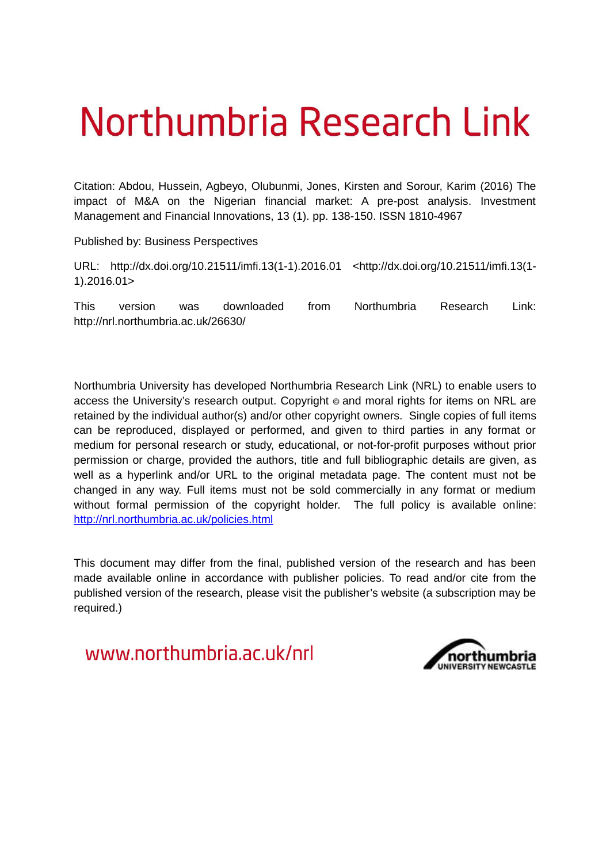# Northumbria Research Link

Citation: Abdou, Hussein, Agbeyo, Olubunmi, Jones, Kirsten and Sorour, Karim (2016) The impact of M&A on the Nigerian financial market: A pre-post analysis. Investment Management and Financial Innovations, 13 (1). pp. 138-150. ISSN 1810-4967

Published by: Business Perspectives

URL: http://dx.doi.org/10.21511/imfi.13(1-1).2016.01 <http://dx.doi.org/10.21511/imfi.13(1- 1).2016.01>

This version was downloaded from Northumbria Research Link: http://nrl.northumbria.ac.uk/26630/

Northumbria University has developed Northumbria Research Link (NRL) to enable users to access the University's research output. Copyright  $\circ$  and moral rights for items on NRL are retained by the individual author(s) and/or other copyright owners. Single copies of full items can be reproduced, displayed or performed, and given to third parties in any format or medium for personal research or study, educational, or not-for-profit purposes without prior permission or charge, provided the authors, title and full bibliographic details are given, as well as a hyperlink and/or URL to the original metadata page. The content must not be changed in any way. Full items must not be sold commercially in any format or medium without formal permission of the copyright holder. The full policy is available online: <http://nrl.northumbria.ac.uk/policies.html>

This document may differ from the final, published version of the research and has been made available online in accordance with publisher policies. To read and/or cite from the published version of the research, please visit the publisher's website (a subscription may be required.)

www.northumbria.ac.uk/nrl

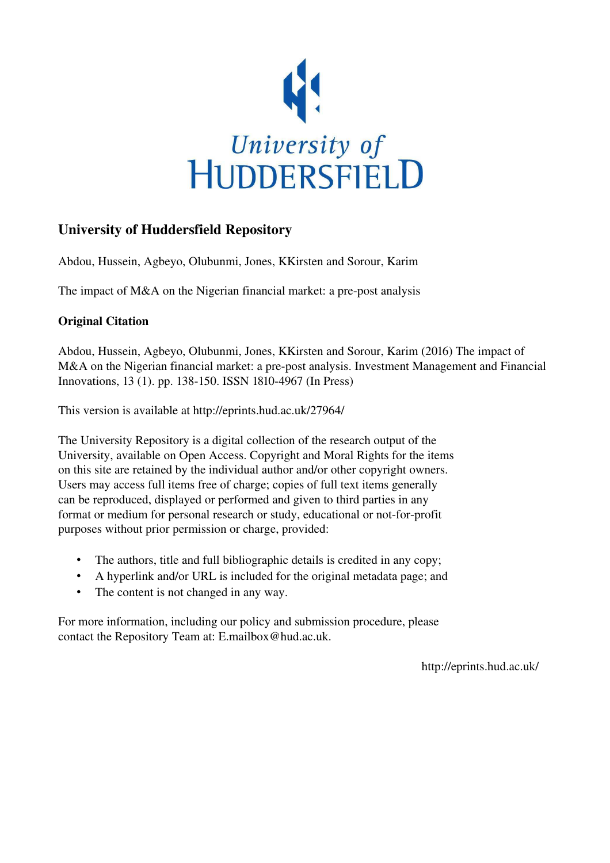

# University of Huddersfield Repository

Abdou, Hussein, Agbeyo, Olubunmi, Jones, KKirsten and Sorour, Karim

The impact of M&A on the Nigerian financial market: a pre-post analysis

# Original Citation

Abdou, Hussein, Agbeyo, Olubunmi, Jones, KKirsten and Sorour, Karim (2016) The impact of M&A on the Nigerian financial market: a pre-post analysis. Investment Management and Financial Innovations, 13 (1). pp. 138-150. ISSN 1810-4967 (In Press)

This version is available at http://eprints.hud.ac.uk/27964/

The University Repository is a digital collection of the research output of the University, available on Open Access. Copyright and Moral Rights for the items on this site are retained by the individual author and/or other copyright owners. Users may access full items free of charge; copies of full text items generally can be reproduced, displayed or performed and given to third parties in any format or medium for personal research or study, educational or not-for-profit purposes without prior permission or charge, provided:

- The authors, title and full bibliographic details is credited in any copy;
- A hyperlink and/or URL is included for the original metadata page; and
- The content is not changed in any way.

For more information, including our policy and submission procedure, please contact the Repository Team at: E.mailbox@hud.ac.uk.

http://eprints.hud.ac.uk/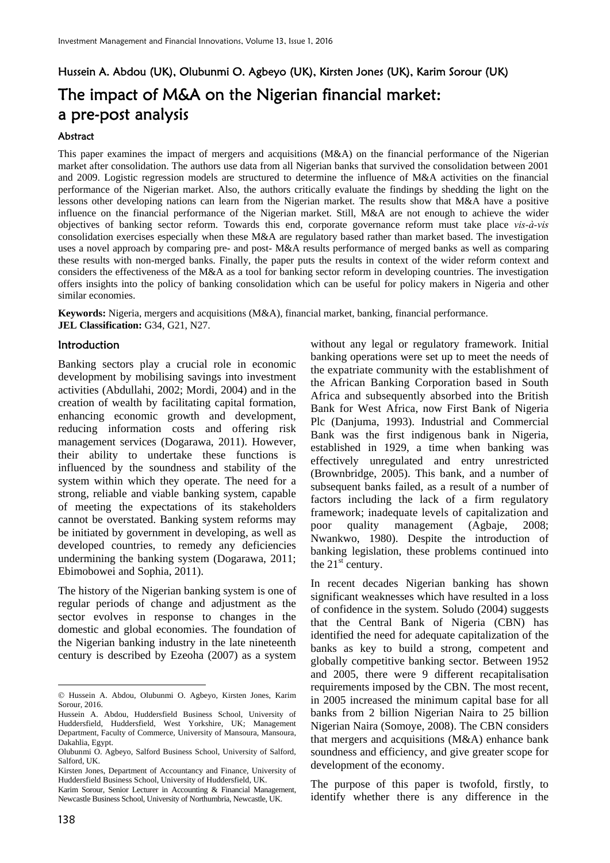# Hussein A. Abdou (UK), Olubunmi O. Agbeyo (UK), Kirsten Jones (UK), Karim Sorour (UK) The impact of M&A on the Nigerian financial market: a pre-post analysis

#### **Abstract**

This paper examines the impact of mergers and acquisitions (M&A) on the financial performance of the Nigerian market after consolidation. The authors use data from all Nigerian banks that survived the consolidation between 2001 and 2009. Logistic regression models are structured to determine the influence of M&A activities on the financial performance of the Nigerian market. Also, the authors critically evaluate the findings by shedding the light on the lessons other developing nations can learn from the Nigerian market. The results show that M&A have a positive influence on the financial performance of the Nigerian market. Still, M&A are not enough to achieve the wider objectives of banking sector reform. Towards this end, corporate governance reform must take place *vis-à-vis* consolidation exercises especially when these M&A are regulatory based rather than market based. The investigation uses a novel approach by comparing pre- and post- M&A results performance of merged banks as well as comparing these results with non-merged banks. Finally, the paper puts the results in context of the wider reform context and considers the effectiveness of the M&A as a tool for banking sector reform in developing countries. The investigation offers insights into the policy of banking consolidation which can be useful for policy makers in Nigeria and other similar economies.

**Keywords:** Nigeria, mergers and acquisitions (M&A), financial market, banking, financial performance. **JEL Classification:** G34, G21, N27.

#### Introduction

Banking sectors play a crucial role in economic development by mobilising savings into investment activities (Abdullahi, 2002; Mordi, 2004) and in the creation of wealth by facilitating capital formation, enhancing economic growth and development, reducing information costs and offering risk management services (Dogarawa, 2011). However, their ability to undertake these functions is influenced by the soundness and stability of the system within which they operate. The need for a strong, reliable and viable banking system, capable of meeting the expectations of its stakeholders cannot be overstated. Banking system reforms may be initiated by government in developing, as well as developed countries, to remedy any deficiencies undermining the banking system (Dogarawa, 2011; Ebimobowei and Sophia, 2011).

The history of the Nigerian banking system is one of regular periods of change and adjustment as the sector evolves in response to changes in the domestic and global economies. The foundation of the Nigerian banking industry in the late nineteenth century is described by Ezeoha (2007) as a system

without any legal or regulatory framework. Initial banking operations were set up to meet the needs of the expatriate community with the establishment of the African Banking Corporation based in South Africa and subsequently absorbed into the British Bank for West Africa, now First Bank of Nigeria Plc (Danjuma, 1993). Industrial and Commercial Bank was the first indigenous bank in Nigeria, established in 1929, a time when banking was effectively unregulated and entry unrestricted (Brownbridge, 2005). This bank, and a number of subsequent banks failed, as a result of a number of factors including the lack of a firm regulatory framework; inadequate levels of capitalization and poor quality management (Agbaje, 2008; Nwankwo, 1980). Despite the introduction of banking legislation, these problems continued into the  $21<sup>st</sup>$  century.

In recent decades Nigerian banking has shown significant weaknesses which have resulted in a loss of confidence in the system. Soludo (2004) suggests that the Central Bank of Nigeria (CBN) has identified the need for adequate capitalization of the banks as key to build a strong, competent and globally competitive banking sector. Between 1952 and 2005, there were 9 different recapitalisation requirements imposed by the CBN. The most recent, in 2005 increased the minimum capital base for all banks from 2 billion Nigerian Naira to 25 billion Nigerian Naira (Somoye, 2008). The CBN considers that mergers and acquisitions (M&A) enhance bank soundness and efficiency, and give greater scope for development of the economy.

The purpose of this paper is twofold, firstly, to identify whether there is any difference in the

 $\overline{a}$ 

<sup>©</sup> Hussein A. Abdou, Olubunmi O. Agbeyo, Kirsten Jones, Karim Sorour, 2016.

Hussein A. Abdou, Huddersfield Business School, University of Huddersfield, Huddersfield, West Yorkshire, UK; Management Department, Faculty of Commerce, University of Mansoura, Mansoura, Dakahlia, Egypt.

Olubunmi O. Agbeyo, Salford Business School, University of Salford, Salford, UK.

Kirsten Jones, Department of Accountancy and Finance, University of Huddersfield Business School, University of Huddersfield, UK.

Karim Sorour, Senior Lecturer in Accounting & Financial Management, Newcastle Business School, University of Northumbria, Newcastle, UK.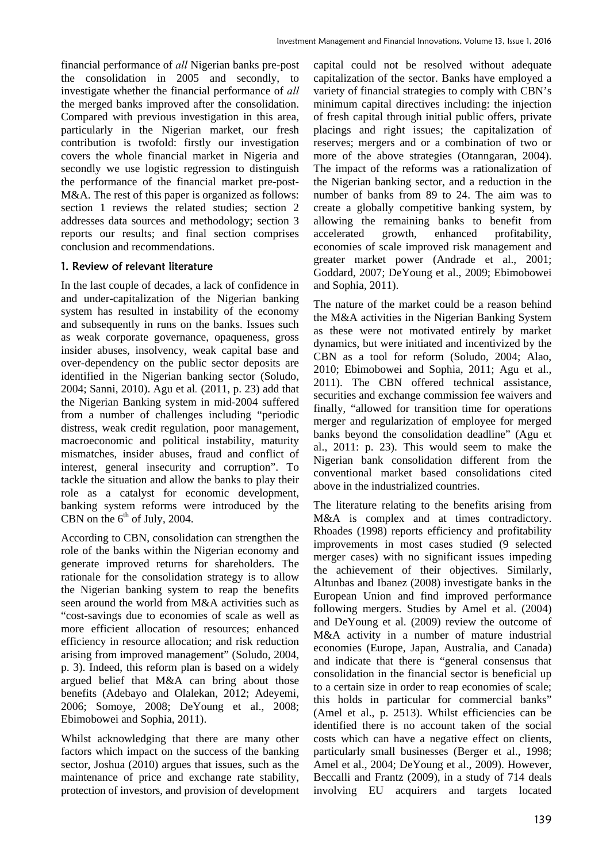financial performance of *all* Nigerian banks pre-post the consolidation in 2005 and secondly, to investigate whether the financial performance of *all*  the merged banks improved after the consolidation. Compared with previous investigation in this area, particularly in the Nigerian market, our fresh contribution is twofold: firstly our investigation covers the whole financial market in Nigeria and secondly we use logistic regression to distinguish the performance of the financial market pre-post-M&A. The rest of this paper is organized as follows: section 1 reviews the related studies; section 2 addresses data sources and methodology; section 3 reports our results; and final section comprises conclusion and recommendations.

## 1. Review of relevant literature

In the last couple of decades, a lack of confidence in and under-capitalization of the Nigerian banking system has resulted in instability of the economy and subsequently in runs on the banks. Issues such as weak corporate governance, opaqueness, gross insider abuses, insolvency, weak capital base and over-dependency on the public sector deposits are identified in the Nigerian banking sector (Soludo, 2004; Sanni, 2010). Agu et al*.* (2011, p. 23) add that the Nigerian Banking system in mid-2004 suffered from a number of challenges including "periodic distress, weak credit regulation, poor management, macroeconomic and political instability, maturity mismatches, insider abuses, fraud and conflict of interest, general insecurity and corruption". To tackle the situation and allow the banks to play their role as a catalyst for economic development, banking system reforms were introduced by the CBN on the  $6<sup>th</sup>$  of July, 2004.

According to CBN, consolidation can strengthen the role of the banks within the Nigerian economy and generate improved returns for shareholders. The rationale for the consolidation strategy is to allow the Nigerian banking system to reap the benefits seen around the world from M&A activities such as "cost-savings due to economies of scale as well as more efficient allocation of resources; enhanced efficiency in resource allocation; and risk reduction arising from improved management" (Soludo, 2004, p. 3). Indeed, this reform plan is based on a widely argued belief that M&A can bring about those benefits (Adebayo and Olalekan, 2012; Adeyemi, 2006; Somoye, 2008; DeYoung et al., 2008; Ebimobowei and Sophia, 2011).

Whilst acknowledging that there are many other factors which impact on the success of the banking sector, Joshua (2010) argues that issues, such as the maintenance of price and exchange rate stability, protection of investors, and provision of development capital could not be resolved without adequate capitalization of the sector. Banks have employed a variety of financial strategies to comply with CBN's minimum capital directives including: the injection of fresh capital through initial public offers, private placings and right issues; the capitalization of reserves; mergers and or a combination of two or more of the above strategies (Otanngaran, 2004). The impact of the reforms was a rationalization of the Nigerian banking sector, and a reduction in the number of banks from 89 to 24. The aim was to create a globally competitive banking system, by allowing the remaining banks to benefit from accelerated growth, enhanced profitability, economies of scale improved risk management and greater market power (Andrade et al., 2001; Goddard, 2007; DeYoung et al., 2009; Ebimobowei and Sophia, 2011).

The nature of the market could be a reason behind the M&A activities in the Nigerian Banking System as these were not motivated entirely by market dynamics, but were initiated and incentivized by the CBN as a tool for reform (Soludo, 2004; Alao, 2010; Ebimobowei and Sophia, 2011; Agu et al., 2011). The CBN offered technical assistance, securities and exchange commission fee waivers and finally, "allowed for transition time for operations merger and regularization of employee for merged banks beyond the consolidation deadline" (Agu et al., 2011: p. 23). This would seem to make the Nigerian bank consolidation different from the conventional market based consolidations cited above in the industrialized countries.

The literature relating to the benefits arising from M&A is complex and at times contradictory. Rhoades (1998) reports efficiency and profitability improvements in most cases studied (9 selected merger cases) with no significant issues impeding the achievement of their objectives. Similarly, Altunbas and Ibanez (2008) investigate banks in the European Union and find improved performance following mergers. Studies by Amel et al. (2004) and DeYoung et al. (2009) review the outcome of M&A activity in a number of mature industrial economies (Europe, Japan, Australia, and Canada) and indicate that there is "general consensus that consolidation in the financial sector is beneficial up to a certain size in order to reap economies of scale; this holds in particular for commercial banks" (Amel et al., p. 2513). Whilst efficiencies can be identified there is no account taken of the social costs which can have a negative effect on clients, particularly small businesses (Berger et al., 1998; Amel et al., 2004; DeYoung et al., 2009). However, Beccalli and Frantz (2009), in a study of 714 deals involving EU acquirers and targets located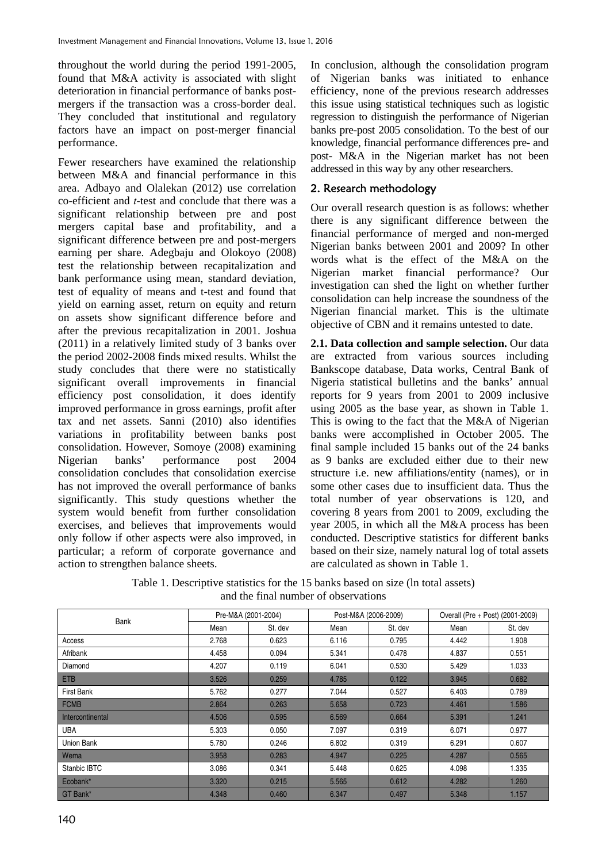throughout the world during the period 1991-2005, found that M&A activity is associated with slight deterioration in financial performance of banks postmergers if the transaction was a cross-border deal. They concluded that institutional and regulatory factors have an impact on post-merger financial performance.

Fewer researchers have examined the relationship between M&A and financial performance in this area. Adbayo and Olalekan (2012) use correlation co-efficient and *t*-test and conclude that there was a significant relationship between pre and post mergers capital base and profitability, and a significant difference between pre and post-mergers earning per share. Adegbaju and Olokoyo (2008) test the relationship between recapitalization and bank performance using mean, standard deviation, test of equality of means and t-test and found that yield on earning asset, return on equity and return on assets show significant difference before and after the previous recapitalization in 2001. Joshua (2011) in a relatively limited study of 3 banks over the period 2002-2008 finds mixed results. Whilst the study concludes that there were no statistically significant overall improvements in financial efficiency post consolidation, it does identify improved performance in gross earnings, profit after tax and net assets. Sanni (2010) also identifies variations in profitability between banks post consolidation. However, Somoye (2008) examining Nigerian banks' performance post 2004 consolidation concludes that consolidation exercise has not improved the overall performance of banks significantly. This study questions whether the system would benefit from further consolidation exercises, and believes that improvements would only follow if other aspects were also improved, in particular; a reform of corporate governance and action to strengthen balance sheets.

In conclusion, although the consolidation program of Nigerian banks was initiated to enhance efficiency, none of the previous research addresses this issue using statistical techniques such as logistic regression to distinguish the performance of Nigerian banks pre-post 2005 consolidation. To the best of our knowledge, financial performance differences pre- and post- M&A in the Nigerian market has not been addressed in this way by any other researchers.

### 2. Research methodology

Our overall research question is as follows: whether there is any significant difference between the financial performance of merged and non-merged Nigerian banks between 2001 and 2009? In other words what is the effect of the M&A on the Nigerian market financial performance? Our investigation can shed the light on whether further consolidation can help increase the soundness of the Nigerian financial market. This is the ultimate objective of CBN and it remains untested to date.

**2.1. Data collection and sample selection.** Our data are extracted from various sources including Bankscope database, Data works, Central Bank of Nigeria statistical bulletins and the banks' annual reports for 9 years from 2001 to 2009 inclusive using 2005 as the base year, as shown in Table 1. This is owing to the fact that the M&A of Nigerian banks were accomplished in October 2005. The final sample included 15 banks out of the 24 banks as 9 banks are excluded either due to their new structure i.e. new affiliations/entity (names), or in some other cases due to insufficient data. Thus the total number of year observations is 120, and covering 8 years from 2001 to 2009, excluding the year 2005, in which all the M&A process has been conducted. Descriptive statistics for different banks based on their size, namely natural log of total assets are calculated as shown in Table 1.

| Table 1. Descriptive statistics for the 15 banks based on size (ln total assets) |
|----------------------------------------------------------------------------------|
| and the final number of observations                                             |

|                   | Pre-M&A (2001-2004) |         |       | Post-M&A (2006-2009) |       | Overall (Pre + Post) (2001-2009) |
|-------------------|---------------------|---------|-------|----------------------|-------|----------------------------------|
| Bank              | Mean                | St. dev | Mean  | St. dev              | Mean  | St. dev                          |
| Access            | 2.768               | 0.623   | 6.116 | 0.795                | 4.442 | 1.908                            |
| Afribank          | 4.458               | 0.094   | 5.341 | 0.478                | 4.837 | 0.551                            |
| Diamond           | 4.207               | 0.119   | 6.041 | 0.530                | 5.429 | 1.033                            |
| <b>ETB</b>        | 3.526               | 0.259   | 4.785 | 0.122                | 3.945 | 0.682                            |
| <b>First Bank</b> | 5.762               | 0.277   | 7.044 | 0.527                | 6.403 | 0.789                            |
| <b>FCMB</b>       | 2.864               | 0.263   | 5.658 | 0.723                | 4.461 | 1.586                            |
| Intercontinental  | 4.506               | 0.595   | 6.569 | 0.664                | 5.391 | 1.241                            |
| <b>UBA</b>        | 5.303               | 0.050   | 7.097 | 0.319                | 6.071 | 0.977                            |
| Union Bank        | 5.780               | 0.246   | 6.802 | 0.319                | 6.291 | 0.607                            |
| Wema              | 3.958               | 0.283   | 4.947 | 0.225                | 4.287 | 0.565                            |
| Stanbic IBTC      | 3.086               | 0.341   | 5.448 | 0.625                | 4.098 | 1.335                            |
| Ecobank*          | 3.320               | 0.215   | 5.565 | 0.612                | 4.282 | 1.260                            |
| GT Bank*          | 4.348               | 0.460   | 6.347 | 0.497                | 5.348 | 1.157                            |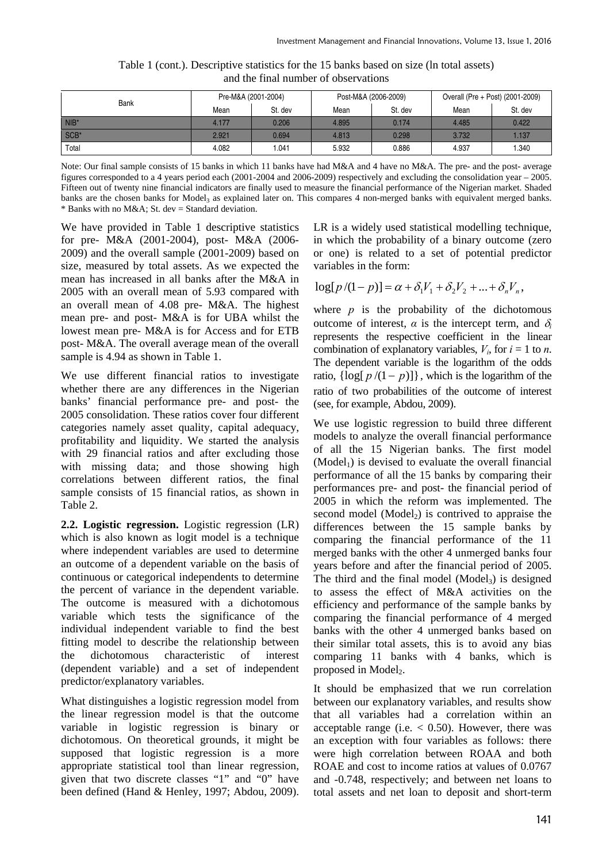| Bank    | Pre-M&A (2001-2004) |         |       | Post-M&A (2006-2009) | Overall (Pre + Post) (2001-2009) |         |  |
|---------|---------------------|---------|-------|----------------------|----------------------------------|---------|--|
|         | Mean                | St. dev | Mean  | St. dev              | Mean                             | St. dev |  |
| $NIB^*$ | 4.177               | 0.206   | 4.895 | 0.174                | 4.485                            | 0.422   |  |
| $SCB*$  | 2.921               | 0.694   | 4.813 | 0.298                | 3.732                            | 1.137   |  |
| Total   | 4.082               | 041.ا   | 5.932 | 0.886                | 4.937                            | 1.340   |  |

Table 1 (cont.). Descriptive statistics for the 15 banks based on size (ln total assets) and the final number of observations

Note: Our final sample consists of 15 banks in which 11 banks have had M&A and 4 have no M&A. The pre- and the post- average figures corresponded to a 4 years period each (2001-2004 and 2006-2009) respectively and excluding the consolidation year – 2005. Fifteen out of twenty nine financial indicators are finally used to measure the financial performance of the Nigerian market. Shaded banks are the chosen banks for Model<sub>3</sub> as explained later on. This compares 4 non-merged banks with equivalent merged banks.  $*$  Banks with no M&A; St. dev = Standard deviation.

We have provided in Table 1 descriptive statistics for pre- M&A (2001-2004), post- M&A (2006- 2009) and the overall sample (2001-2009) based on size, measured by total assets. As we expected the mean has increased in all banks after the M&A in 2005 with an overall mean of 5.93 compared with an overall mean of 4.08 pre- M&A. The highest mean pre- and post- M&A is for UBA whilst the lowest mean pre- M&A is for Access and for ETB post- M&A. The overall average mean of the overall sample is 4.94 as shown in Table 1.

We use different financial ratios to investigate whether there are any differences in the Nigerian banks' financial performance pre- and post- the 2005 consolidation. These ratios cover four different categories namely asset quality, capital adequacy, profitability and liquidity. We started the analysis with 29 financial ratios and after excluding those with missing data; and those showing high correlations between different ratios, the final sample consists of 15 financial ratios, as shown in Table 2.

**2.2. Logistic regression.** Logistic regression (LR) which is also known as logit model is a technique where independent variables are used to determine an outcome of a dependent variable on the basis of continuous or categorical independents to determine the percent of variance in the dependent variable. The outcome is measured with a dichotomous variable which tests the significance of the individual independent variable to find the best fitting model to describe the relationship between the dichotomous characteristic of interest (dependent variable) and a set of independent predictor/explanatory variables.

What distinguishes a logistic regression model from the linear regression model is that the outcome variable in logistic regression is binary or dichotomous. On theoretical grounds, it might be supposed that logistic regression is a more appropriate statistical tool than linear regression, given that two discrete classes "1" and "0" have been defined (Hand & Henley, 1997; Abdou, 2009). LR is a widely used statistical modelling technique, in which the probability of a binary outcome (zero or one) is related to a set of potential predictor variables in the form:

$$
\log[p/(1-p)] = \alpha + \delta_1 V_1 + \delta_2 V_2 + \dots + \delta_n V_n,
$$

where  $p$  is the probability of the dichotomous outcome of interest, *α* is the intercept term, and δ*<sup>i</sup>* represents the respective coefficient in the linear combination of explanatory variables,  $V_i$ , for  $i = 1$  to *n*. The dependent variable is the logarithm of the odds ratio,  $\{\log[p/(1-p)]\}$ , which is the logarithm of the ratio of two probabilities of the outcome of interest (see, for example, Abdou, 2009).

We use logistic regression to build three different models to analyze the overall financial performance of all the 15 Nigerian banks. The first model  $(Mode1<sub>1</sub>)$  is devised to evaluate the overall financial performance of all the 15 banks by comparing their performances pre- and post- the financial period of 2005 in which the reform was implemented. The second model  $(Mode1<sub>2</sub>)$  is contrived to appraise the differences between the 15 sample banks by comparing the financial performance of the 11 merged banks with the other 4 unmerged banks four years before and after the financial period of 2005. The third and the final model  $(Mode1<sub>3</sub>)$  is designed to assess the effect of M&A activities on the efficiency and performance of the sample banks by comparing the financial performance of 4 merged banks with the other 4 unmerged banks based on their similar total assets, this is to avoid any bias comparing 11 banks with 4 banks, which is proposed in Model<sub>2</sub>.

It should be emphasized that we run correlation between our explanatory variables, and results show that all variables had a correlation within an acceptable range (i.e.  $< 0.50$ ). However, there was an exception with four variables as follows: there were high correlation between ROAA and both ROAE and cost to income ratios at values of 0.0767 and -0.748, respectively; and between net loans to total assets and net loan to deposit and short-term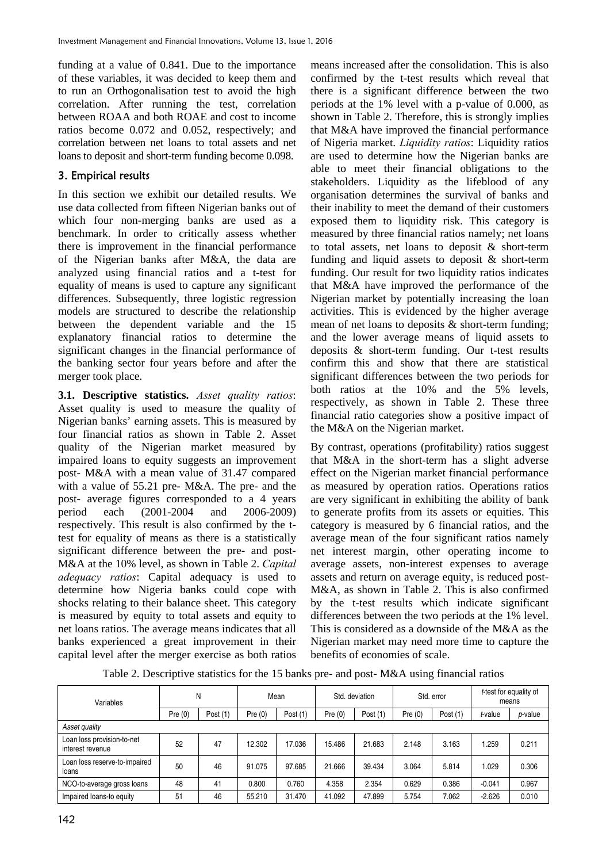funding at a value of 0.841. Due to the importance of these variables, it was decided to keep them and to run an Orthogonalisation test to avoid the high correlation. After running the test, correlation between ROAA and both ROAE and cost to income ratios become 0.072 and 0.052, respectively; and correlation between net loans to total assets and net loans to deposit and short-term funding become 0.098.

## 3. Empirical results

In this section we exhibit our detailed results. We use data collected from fifteen Nigerian banks out of which four non-merging banks are used as a benchmark. In order to critically assess whether there is improvement in the financial performance of the Nigerian banks after M&A, the data are analyzed using financial ratios and a t-test for equality of means is used to capture any significant differences. Subsequently, three logistic regression models are structured to describe the relationship between the dependent variable and the 15 explanatory financial ratios to determine the significant changes in the financial performance of the banking sector four years before and after the merger took place.

**3.1. Descriptive statistics.** *Asset quality ratios*: Asset quality is used to measure the quality of Nigerian banks' earning assets. This is measured by four financial ratios as shown in Table 2. Asset quality of the Nigerian market measured by impaired loans to equity suggests an improvement post- M&A with a mean value of 31.47 compared with a value of 55.21 pre- M&A. The pre- and the post- average figures corresponded to a 4 years period each (2001-2004 and 2006-2009) respectively. This result is also confirmed by the ttest for equality of means as there is a statistically significant difference between the pre- and post-M&A at the 10% level, as shown in Table 2. *Capital adequacy ratios*: Capital adequacy is used to determine how Nigeria banks could cope with shocks relating to their balance sheet. This category is measured by equity to total assets and equity to net loans ratios. The average means indicates that all banks experienced a great improvement in their capital level after the merger exercise as both ratios

means increased after the consolidation. This is also confirmed by the t-test results which reveal that there is a significant difference between the two periods at the 1% level with a p-value of 0.000, as shown in Table 2. Therefore, this is strongly implies that M&A have improved the financial performance of Nigeria market. *Liquidity ratios*: Liquidity ratios are used to determine how the Nigerian banks are able to meet their financial obligations to the stakeholders. Liquidity as the lifeblood of any organisation determines the survival of banks and their inability to meet the demand of their customers exposed them to liquidity risk. This category is measured by three financial ratios namely; net loans to total assets, net loans to deposit & short-term funding and liquid assets to deposit  $&$  short-term funding. Our result for two liquidity ratios indicates that M&A have improved the performance of the Nigerian market by potentially increasing the loan activities. This is evidenced by the higher average mean of net loans to deposits & short-term funding; and the lower average means of liquid assets to deposits & short-term funding. Our t-test results confirm this and show that there are statistical significant differences between the two periods for both ratios at the 10% and the 5% levels, respectively, as shown in Table 2. These three financial ratio categories show a positive impact of the M&A on the Nigerian market.

By contrast, operations (profitability) ratios suggest that M&A in the short-term has a slight adverse effect on the Nigerian market financial performance as measured by operation ratios. Operations ratios are very significant in exhibiting the ability of bank to generate profits from its assets or equities. This category is measured by 6 financial ratios, and the average mean of the four significant ratios namely net interest margin, other operating income to average assets, non-interest expenses to average assets and return on average equity, is reduced post-M&A, as shown in Table 2. This is also confirmed by the t-test results which indicate significant differences between the two periods at the 1% level. This is considered as a downside of the M&A as the Nigerian market may need more time to capture the benefits of economies of scale.

Table 2. Descriptive statistics for the 15 banks pre- and post- M&A using financial ratios

| Variables                                      |           | N          |           | Mean       |           | Std. deviation |           | Std. error | means    | t-test for equality of |
|------------------------------------------------|-----------|------------|-----------|------------|-----------|----------------|-----------|------------|----------|------------------------|
|                                                | Pre $(0)$ | Post $(1)$ | Pre $(0)$ | Post $(1)$ | Pre $(0)$ | Post $(1)$     | Pre $(0)$ | Post $(1)$ | t-value  | p-value                |
| Asset quality                                  |           |            |           |            |           |                |           |            |          |                        |
| Loan loss provision-to-net<br>interest revenue | 52        | 47         | 12.302    | 17.036     | 15.486    | 21.683         | 2.148     | 3.163      | .259     | 0.211                  |
| Loan loss reserve-to-impaired<br>loans         | 50        | 46         | 91.075    | 97.685     | 21.666    | 39.434         | 3.064     | 5.814      | 0.029    | 0.306                  |
| NCO-to-average gross loans                     | 48        | 41         | 0.800     | 0.760      | 4.358     | 2.354          | 0.629     | 0.386      | $-0.041$ | 0.967                  |
| Impaired loans-to equity                       | 51        | 46         | 55.210    | 31.470     | 41.092    | 47.899         | 5.754     | 7.062      | $-2.626$ | 0.010                  |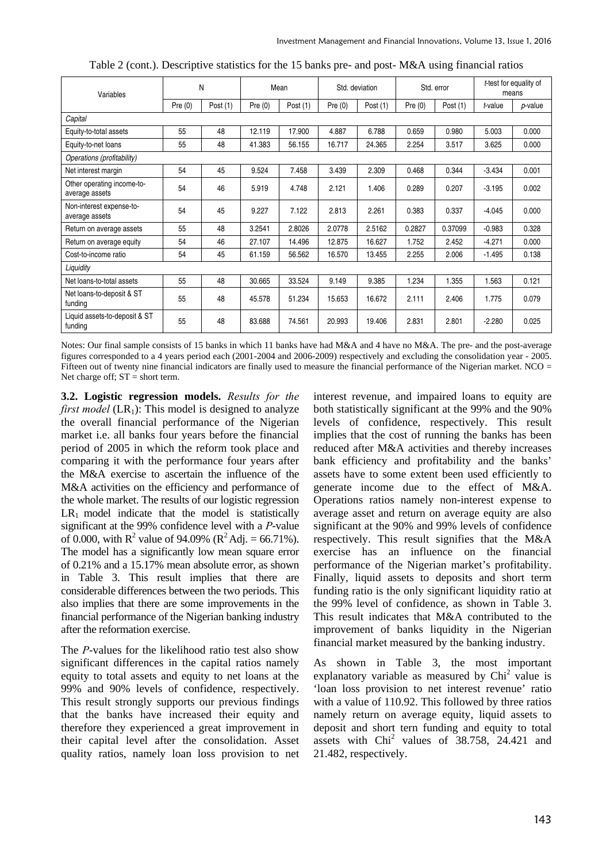| Variables                                    |        | N          |           | Mean       |           | Std. deviation |           | Std. error |          | t-test for equality of<br>means |
|----------------------------------------------|--------|------------|-----------|------------|-----------|----------------|-----------|------------|----------|---------------------------------|
|                                              | Pre(0) | Post $(1)$ | Pre $(0)$ | Post $(1)$ | Pre $(0)$ | Post $(1)$     | Pre $(0)$ | Post $(1)$ | t-value  | <i>p</i> -value                 |
| Capital                                      |        |            |           |            |           |                |           |            |          |                                 |
| Equity-to-total assets                       | 55     | 48         | 12.119    | 17.900     | 4.887     | 6.788          | 0.659     | 0.980      | 5.003    | 0.000                           |
| Equity-to-net loans                          | 55     | 48         | 41.383    | 56.155     | 16.717    | 24.365         | 2.254     | 3.517      | 3.625    | 0.000                           |
| Operations (profitability)                   |        |            |           |            |           |                |           |            |          |                                 |
| Net interest margin                          | 54     | 45         | 9.524     | 7.458      | 3.439     | 2.309          | 0.468     | 0.344      | $-3.434$ | 0.001                           |
| Other operating income-to-<br>average assets | 54     | 46         | 5.919     | 4.748      | 2.121     | 1.406          | 0.289     | 0.207      | $-3.195$ | 0.002                           |
| Non-interest expense-to-<br>average assets   | 54     | 45         | 9.227     | 7.122      | 2.813     | 2.261          | 0.383     | 0.337      | $-4.045$ | 0.000                           |
| Return on average assets                     | 55     | 48         | 3.2541    | 2.8026     | 2.0778    | 2.5162         | 0.2827    | 0.37099    | $-0.983$ | 0.328                           |
| Return on average equity                     | 54     | 46         | 27.107    | 14.496     | 12.875    | 16.627         | 1.752     | 2.452      | $-4.271$ | 0.000                           |
| Cost-to-income ratio                         | 54     | 45         | 61.159    | 56.562     | 16.570    | 13.455         | 2.255     | 2.006      | $-1.495$ | 0.138                           |
| Liquidity                                    |        |            |           |            |           |                |           |            |          |                                 |
| Net loans-to-total assets                    | 55     | 48         | 30.665    | 33.524     | 9.149     | 9.385          | 1.234     | 1.355      | 1.563    | 0.121                           |
| Net loans-to-deposit & ST<br>fundina         | 55     | 48         | 45.578    | 51.234     | 15.653    | 16.672         | 2.111     | 2.406      | 1.775    | 0.079                           |
| Liquid assets-to-deposit & ST<br>funding     | 55     | 48         | 83.688    | 74.561     | 20.993    | 19.406         | 2.831     | 2.801      | $-2.280$ | 0.025                           |

|  |  |  | Table 2 (cont.). Descriptive statistics for the 15 banks pre- and post-M&A using financial ratios |
|--|--|--|---------------------------------------------------------------------------------------------------|
|--|--|--|---------------------------------------------------------------------------------------------------|

Notes: Our final sample consists of 15 banks in which 11 banks have had M&A and 4 have no M&A. The pre- and the post-average figures corresponded to a 4 years period each (2001-2004 and 2006-2009) respectively and excluding the consolidation year - 2005. Fifteen out of twenty nine financial indicators are finally used to measure the financial performance of the Nigerian market. NCO = Net charge off;  $ST = short$  term.

**3.2. Logistic regression models.** *Results for the first model* (LR<sub>1</sub>): This model is designed to analyze the overall financial performance of the Nigerian market i.e. all banks four years before the financial period of 2005 in which the reform took place and comparing it with the performance four years after the M&A exercise to ascertain the influence of the M&A activities on the efficiency and performance of the whole market. The results of our logistic regression  $LR_1$  model indicate that the model is statistically significant at the 99% confidence level with a *P*-value of 0.000, with  $R^2$  value of 94.09% ( $R^2$ Adj. = 66.71%). The model has a significantly low mean square error of 0.21% and a 15.17% mean absolute error, as shown in Table 3. This result implies that there are considerable differences between the two periods. This also implies that there are some improvements in the financial performance of the Nigerian banking industry after the reformation exercise.

The *P*-values for the likelihood ratio test also show significant differences in the capital ratios namely equity to total assets and equity to net loans at the 99% and 90% levels of confidence, respectively. This result strongly supports our previous findings that the banks have increased their equity and therefore they experienced a great improvement in their capital level after the consolidation. Asset quality ratios, namely loan loss provision to net interest revenue, and impaired loans to equity are both statistically significant at the 99% and the 90% levels of confidence, respectively. This result implies that the cost of running the banks has been reduced after M&A activities and thereby increases bank efficiency and profitability and the banks' assets have to some extent been used efficiently to generate income due to the effect of M&A. Operations ratios namely non-interest expense to average asset and return on average equity are also significant at the 90% and 99% levels of confidence respectively. This result signifies that the M&A exercise has an influence on the financial performance of the Nigerian market's profitability. Finally, liquid assets to deposits and short term funding ratio is the only significant liquidity ratio at the 99% level of confidence, as shown in Table 3. This result indicates that M&A contributed to the improvement of banks liquidity in the Nigerian financial market measured by the banking industry.

As shown in Table 3, the most important explanatory variable as measured by  $Chi<sup>2</sup>$  value is 'loan loss provision to net interest revenue' ratio with a value of 110.92. This followed by three ratios namely return on average equity, liquid assets to deposit and short tern funding and equity to total assets with Chi<sup>2</sup> values of 38.758, 24.421 and 21.482, respectively.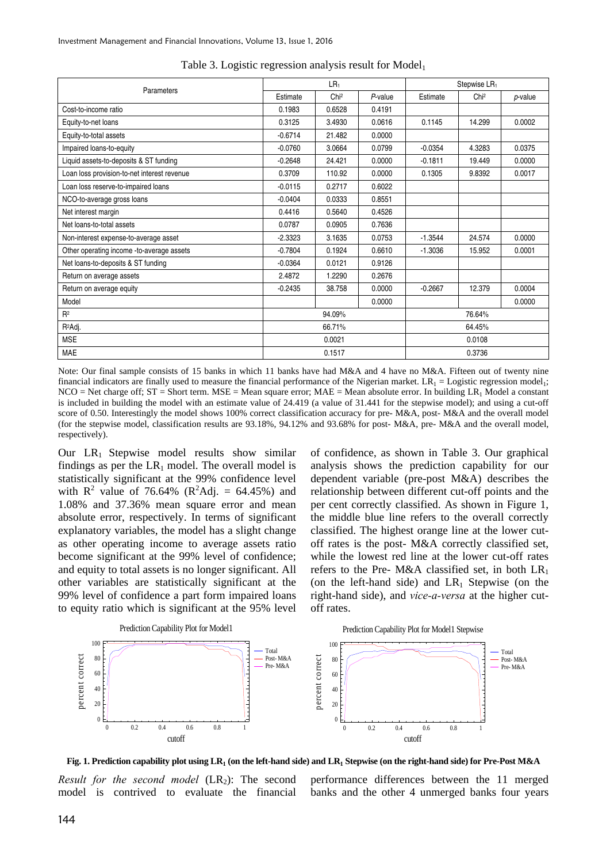|                                             |           | LR <sub>1</sub>  |         | Stepwise LR <sub>1</sub> |                  |            |
|---------------------------------------------|-----------|------------------|---------|--------------------------|------------------|------------|
| Parameters                                  | Estimate  | Chi <sup>2</sup> | P-value | Estimate                 | Chi <sup>2</sup> | $p$ -value |
| Cost-to-income ratio                        | 0.1983    | 0.6528           | 0.4191  |                          |                  |            |
| Equity-to-net loans                         | 0.3125    | 3.4930           | 0.0616  | 0.1145                   | 14.299           | 0.0002     |
| Equity-to-total assets                      | $-0.6714$ | 21.482           | 0.0000  |                          |                  |            |
| Impaired loans-to-equity                    | $-0.0760$ | 3.0664           | 0.0799  | $-0.0354$                | 4.3283           | 0.0375     |
| Liquid assets-to-deposits & ST funding      | $-0.2648$ | 24.421           | 0.0000  | $-0.1811$                | 19.449           | 0.0000     |
| Loan loss provision-to-net interest revenue | 0.3709    | 110.92           | 0.0000  | 0.1305                   | 9.8392           | 0.0017     |
| Loan loss reserve-to-impaired loans         | $-0.0115$ | 0.2717           | 0.6022  |                          |                  |            |
| NCO-to-average gross loans                  | $-0.0404$ | 0.0333           | 0.8551  |                          |                  |            |
| Net interest margin                         | 0.4416    | 0.5640           | 0.4526  |                          |                  |            |
| Net loans-to-total assets                   | 0.0787    | 0.0905           | 0.7636  |                          |                  |            |
| Non-interest expense-to-average asset       | $-2.3323$ | 3.1635           | 0.0753  | $-1.3544$                | 24.574           | 0.0000     |
| Other operating income -to-average assets   | $-0.7804$ | 0.1924           | 0.6610  | $-1.3036$                | 15.952           | 0.0001     |
| Net loans-to-deposits & ST funding          | $-0.0364$ | 0.0121           | 0.9126  |                          |                  |            |
| Return on average assets                    | 2.4872    | 1.2290           | 0.2676  |                          |                  |            |
| Return on average equity                    | $-0.2435$ | 38.758           | 0.0000  | $-0.2667$                | 12.379           | 0.0004     |
| Model                                       |           |                  | 0.0000  |                          |                  | 0.0000     |
| $R^2$                                       |           | 94.09%           |         |                          | 76.64%           |            |
| R <sup>2</sup> Adj.                         |           | 66.71%           |         |                          | 64.45%           |            |
| <b>MSE</b>                                  |           | 0.0021           |         |                          | 0.0108           |            |
| <b>MAE</b>                                  |           | 0.1517           |         |                          | 0.3736           |            |

Table 3. Logistic regression analysis result for  $Model_1$ 

Note: Our final sample consists of 15 banks in which 11 banks have had M&A and 4 have no M&A. Fifteen out of twenty nine financial indicators are finally used to measure the financial performance of the Nigerian market.  $LR_1 =$  Logistic regression model<sub>1</sub>;  $NCO = Net charge off; ST = Short term. MSE = Mean square error; MAE = Mean absolute error. In building LR<sub>1</sub> Model a constant$ is included in building the model with an estimate value of 24.419 (a value of 31.441 for the stepwise model); and using a cut-off score of 0.50. Interestingly the model shows 100% correct classification accuracy for pre- M&A, post- M&A and the overall model (for the stepwise model, classification results are 93.18%, 94.12% and 93.68% for post- M&A, pre- M&A and the overall model, respectively).

Our LR<sub>1</sub> Stepwise model results show similar findings as per the  $LR_1$  model. The overall model is statistically significant at the 99% confidence level with  $R^2$  value of 76.64% ( $R^2$ Adj. = 64.45%) and 1.08% and 37.36% mean square error and mean absolute error, respectively. In terms of significant explanatory variables, the model has a slight change as other operating income to average assets ratio become significant at the 99% level of confidence; and equity to total assets is no longer significant. All other variables are statistically significant at the 99% level of confidence a part form impaired loans to equity ratio which is significant at the 95% level

of confidence, as shown in Table 3. Our graphical analysis shows the prediction capability for our dependent variable (pre-post M&A) describes the relationship between different cut-off points and the per cent correctly classified. As shown in Figure 1, the middle blue line refers to the overall correctly classified. The highest orange line at the lower cutoff rates is the post- M&A correctly classified set, while the lowest red line at the lower cut-off rates refers to the Pre- M&A classified set, in both  $LR_1$ (on the left-hand side) and  $LR_1$  Stepwise (on the right-hand side), and *vice-a-versa* at the higher cutoff rates.



**Fig. 1. Prediction capability plot using LR1 (on the left-hand side) and LR1 Stepwise (on the right-hand side) for Pre-Post M&A** 

*Result for the second model* (LR<sub>2</sub>): The second model is contrived to evaluate the financial

performance differences between the 11 merged banks and the other 4 unmerged banks four years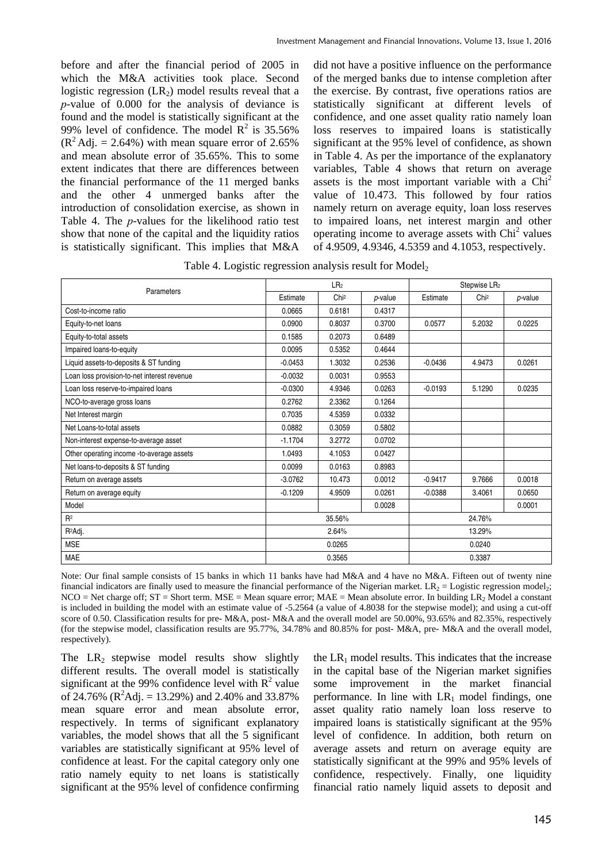before and after the financial period of 2005 in which the M&A activities took place. Second logistic regression  $(LR_2)$  model results reveal that a *p*-value of 0.000 for the analysis of deviance is found and the model is statistically significant at the 99% level of confidence. The model  $R^2$  is 35.56%  $(R^2 \text{Adj.} = 2.64\%)$  with mean square error of 2.65% and mean absolute error of 35.65%. This to some extent indicates that there are differences between the financial performance of the 11 merged banks and the other 4 unmerged banks after the introduction of consolidation exercise, as shown in Table 4. The *p*-values for the likelihood ratio test show that none of the capital and the liquidity ratios is statistically significant. This implies that M&A

did not have a positive influence on the performance of the merged banks due to intense completion after the exercise. By contrast, five operations ratios are statistically significant at different levels of confidence, and one asset quality ratio namely loan loss reserves to impaired loans is statistically significant at the 95% level of confidence, as shown in Table 4. As per the importance of the explanatory variables, Table 4 shows that return on average assets is the most important variable with a  $Chi<sup>2</sup>$ value of 10.473. This followed by four ratios namely return on average equity, loan loss reserves to impaired loans, net interest margin and other operating income to average assets with Chi<sup>2</sup> values of 4.9509, 4.9346, 4.5359 and 4.1053, respectively.

Table 4. Logistic regression analysis result for  $Model<sub>2</sub>$ 

|                                             |           | LR <sub>2</sub>  |         | Stepwise LR <sub>2</sub> |                  |         |
|---------------------------------------------|-----------|------------------|---------|--------------------------|------------------|---------|
| Parameters                                  | Estimate  | Chi <sup>2</sup> | p-value | Estimate                 | Chi <sup>2</sup> | p-value |
| Cost-to-income ratio                        | 0.0665    | 0.6181           | 0.4317  |                          |                  |         |
| Equity-to-net loans                         | 0.0900    | 0.8037           | 0.3700  | 0.0577                   | 5.2032           | 0.0225  |
| Equity-to-total assets                      | 0.1585    | 0.2073           | 0.6489  |                          |                  |         |
| Impaired loans-to-equity                    | 0.0095    | 0.5352           | 0.4644  |                          |                  |         |
| Liquid assets-to-deposits & ST funding      | $-0.0453$ | 1.3032           | 0.2536  | $-0.0436$                | 4.9473           | 0.0261  |
| Loan loss provision-to-net interest revenue | $-0.0032$ | 0.0031           | 0.9553  |                          |                  |         |
| Loan loss reserve-to-impaired loans         | $-0.0300$ | 4.9346           | 0.0263  | $-0.0193$                | 5.1290           | 0.0235  |
| NCO-to-average gross loans                  | 0.2762    | 2.3362           | 0.1264  |                          |                  |         |
| Net Interest margin                         | 0.7035    | 4.5359           | 0.0332  |                          |                  |         |
| Net Loans-to-total assets                   | 0.0882    | 0.3059           | 0.5802  |                          |                  |         |
| Non-interest expense-to-average asset       | $-1.1704$ | 3.2772           | 0.0702  |                          |                  |         |
| Other operating income -to-average assets   | 1.0493    | 4.1053           | 0.0427  |                          |                  |         |
| Net loans-to-deposits & ST funding          | 0.0099    | 0.0163           | 0.8983  |                          |                  |         |
| Return on average assets                    | $-3.0762$ | 10.473           | 0.0012  | $-0.9417$                | 9.7666           | 0.0018  |
| Return on average equity                    | $-0.1209$ | 4.9509           | 0.0261  | $-0.0388$                | 3.4061           | 0.0650  |
| Model                                       |           |                  | 0.0028  |                          |                  | 0.0001  |
| R <sup>2</sup>                              |           | 35.56%           |         |                          | 24.76%           |         |
| R <sup>2</sup> Adj.                         |           | 2.64%            |         |                          | 13.29%           |         |
| <b>MSE</b>                                  | 0.0265    |                  |         |                          | 0.0240           |         |
| <b>MAE</b>                                  |           | 0.3565           |         |                          | 0.3387           |         |

Note: Our final sample consists of 15 banks in which 11 banks have had M&A and 4 have no M&A. Fifteen out of twenty nine financial indicators are finally used to measure the financial performance of the Nigerian market.  $LR_2 =$  Logistic regression model<sub>2</sub>;  $NCO = Net charge off; ST = Short term. MSE = Mean square error; MAE = Mean absolute error. In building LR<sub>2</sub> Model a constant$ is included in building the model with an estimate value of -5.2564 (a value of 4.8038 for the stepwise model); and using a cut-off score of 0.50. Classification results for pre- M&A, post- M&A and the overall model are 50.00%, 93.65% and 82.35%, respectively (for the stepwise model, classification results are 95.77%, 34.78% and 80.85% for post- M&A, pre- M&A and the overall model, respectively).

The  $LR_2$  stepwise model results show slightly different results. The overall model is statistically significant at the 99% confidence level with  $R^2$  value of 24.76% ( $\mathbb{R}^2$ Adj. = 13.29%) and 2.40% and 33.87% mean square error and mean absolute error, respectively. In terms of significant explanatory variables, the model shows that all the 5 significant variables are statistically significant at 95% level of confidence at least. For the capital category only one ratio namely equity to net loans is statistically significant at the 95% level of confidence confirming

the  $LR_1$  model results. This indicates that the increase in the capital base of the Nigerian market signifies some improvement in the market financial performance. In line with  $LR_1$  model findings, one asset quality ratio namely loan loss reserve to impaired loans is statistically significant at the 95% level of confidence. In addition, both return on average assets and return on average equity are statistically significant at the 99% and 95% levels of confidence, respectively. Finally, one liquidity financial ratio namely liquid assets to deposit and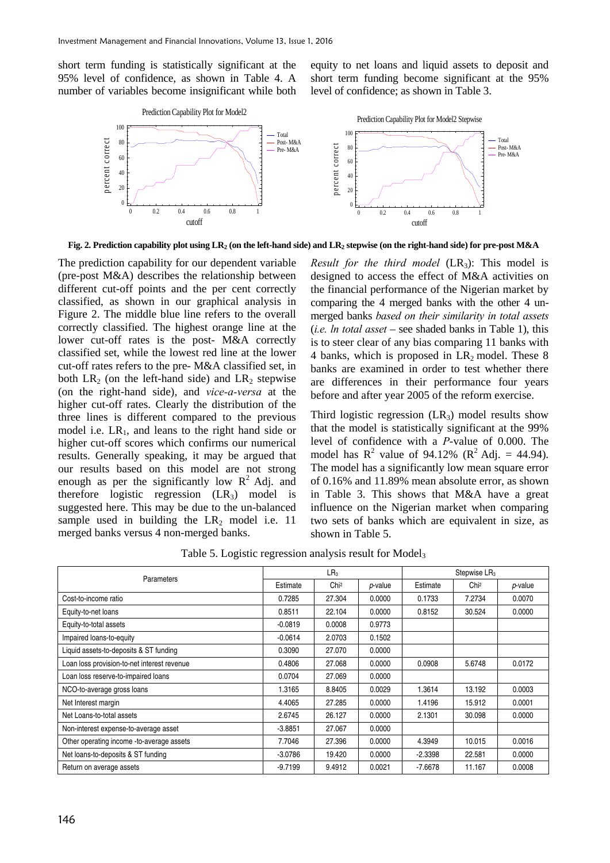short term funding is statistically significant at the 95% level of confidence, as shown in Table 4. A number of variables become insignificant while both

equity to net loans and liquid assets to deposit and short term funding become significant at the 95% level of confidence; as shown in Table 3.



**Fig. 2. Prediction capability plot using LR2 (on the left-hand side) and LR2 stepwise (on the right-hand side) for pre-post M&A** 

The prediction capability for our dependent variable (pre-post M&A) describes the relationship between different cut-off points and the per cent correctly classified, as shown in our graphical analysis in Figure 2. The middle blue line refers to the overall correctly classified. The highest orange line at the lower cut-off rates is the post- M&A correctly classified set, while the lowest red line at the lower cut-off rates refers to the pre- M&A classified set, in both  $LR_2$  (on the left-hand side) and  $LR_2$  stepwise (on the right-hand side), and *vice-a-versa* at the higher cut-off rates. Clearly the distribution of the three lines is different compared to the previous model i.e.  $LR_1$ , and leans to the right hand side or higher cut-off scores which confirms our numerical results. Generally speaking, it may be argued that our results based on this model are not strong enough as per the significantly low  $R^2$  Adj. and therefore logistic regression  $(LR_3)$  model is suggested here. This may be due to the un-balanced sample used in building the  $LR_2$  model i.e. 11 merged banks versus 4 non-merged banks.

*Result for the third model*  $(LR_3)$ : This model is designed to access the effect of M&A activities on the financial performance of the Nigerian market by comparing the 4 merged banks with the other 4 unmerged banks *based on their similarity in total assets*  (*i.e. ln total asset* – see shaded banks in Table 1), this is to steer clear of any bias comparing 11 banks with 4 banks, which is proposed in  $LR_2$  model. These 8 banks are examined in order to test whether there are differences in their performance four years before and after year 2005 of the reform exercise.

Third logistic regression  $(LR_3)$  model results show that the model is statistically significant at the 99% level of confidence with a *P*-value of 0.000. The model has  $R^2$  value of 94.12% ( $R^2$  Adj. = 44.94). The model has a significantly low mean square error of 0.16% and 11.89% mean absolute error, as shown in Table 3. This shows that M&A have a great influence on the Nigerian market when comparing two sets of banks which are equivalent in size, as shown in Table 5.

Table 5. Logistic regression analysis result for Model<sub>3</sub>

|                                             |           | LR <sub>3</sub>  |         | Stepwise LR <sub>3</sub> |                  |                 |  |
|---------------------------------------------|-----------|------------------|---------|--------------------------|------------------|-----------------|--|
| <b>Parameters</b>                           | Estimate  | Chi <sup>2</sup> | p-value | Estimate                 | Chi <sup>2</sup> | <i>p</i> -value |  |
| Cost-to-income ratio                        | 0.7285    | 27.304           | 0.0000  | 0.1733                   | 7.2734           | 0.0070          |  |
| Equity-to-net loans                         | 0.8511    | 22.104           | 0.0000  | 0.8152                   | 30.524           | 0.0000          |  |
| Equity-to-total assets                      | $-0.0819$ | 0.0008           | 0.9773  |                          |                  |                 |  |
| Impaired loans-to-equity                    | $-0.0614$ | 2.0703           | 0.1502  |                          |                  |                 |  |
| Liquid assets-to-deposits & ST funding      | 0.3090    | 27.070           | 0.0000  |                          |                  |                 |  |
| Loan loss provision-to-net interest revenue | 0.4806    | 27.068           | 0.0000  | 0.0908                   | 5.6748           | 0.0172          |  |
| Loan loss reserve-to-impaired loans         | 0.0704    | 27.069           | 0.0000  |                          |                  |                 |  |
| NCO-to-average gross loans                  | 1.3165    | 8.8405           | 0.0029  | 1.3614                   | 13.192           | 0.0003          |  |
| Net Interest margin                         | 4.4065    | 27.285           | 0.0000  | 1.4196                   | 15.912           | 0.0001          |  |
| Net Loans-to-total assets                   | 2.6745    | 26.127           | 0.0000  | 2.1301                   | 30.098           | 0.0000          |  |
| Non-interest expense-to-average asset       | $-3.8851$ | 27.067           | 0.0000  |                          |                  |                 |  |
| Other operating income -to-average assets   | 7.7046    | 27.396           | 0.0000  | 4.3949                   | 10.015           | 0.0016          |  |
| Net loans-to-deposits & ST funding          | $-3.0786$ | 19.420           | 0.0000  | $-2.3398$                | 22.581           | 0.0000          |  |
| Return on average assets                    | $-9.7199$ | 9.4912           | 0.0021  | $-7.6678$                | 11.167           | 0.0008          |  |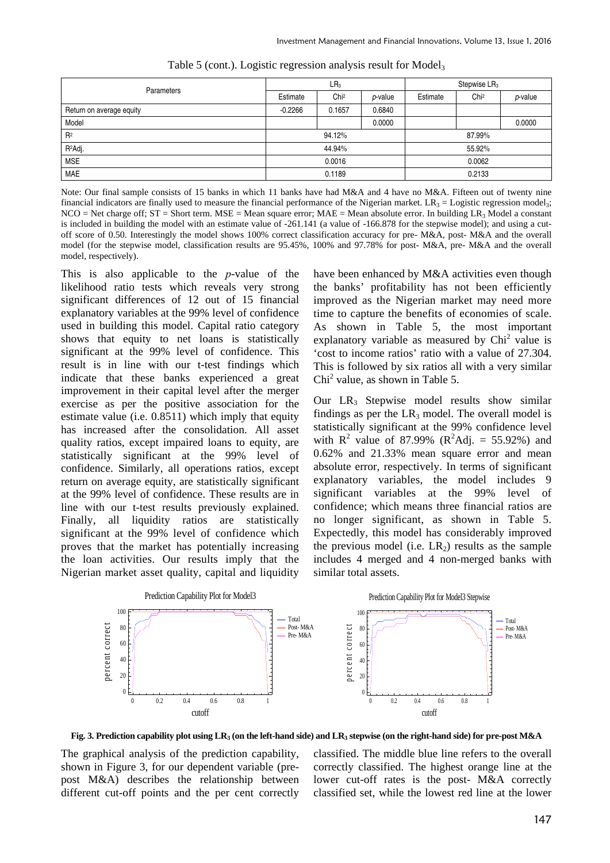| <b>Parameters</b>        |           | LR <sub>3</sub>  |                 |          | Stepwise LR <sub>3</sub> |                 |  |
|--------------------------|-----------|------------------|-----------------|----------|--------------------------|-----------------|--|
|                          | Estimate  | Chi <sup>2</sup> | <i>p</i> -value | Estimate | Chi <sup>2</sup>         | <i>p</i> -value |  |
| Return on average equity | $-0.2266$ | 0.1657           | 0.6840          |          |                          |                 |  |
| Model                    |           |                  | 0.0000          |          |                          | 0.0000          |  |
| R <sup>2</sup>           |           | 94.12%           |                 | 87.99%   |                          |                 |  |
| R <sup>2</sup> Adj.      |           | 44.94%           |                 | 55.92%   |                          |                 |  |
| <b>MSE</b>               | 0.0016    |                  |                 | 0.0062   |                          |                 |  |
| <b>MAE</b>               |           | 0.1189           |                 |          | 0.2133                   |                 |  |

Table 5 (cont.). Logistic regression analysis result for Model<sub>3</sub>

Note: Our final sample consists of 15 banks in which 11 banks have had M&A and 4 have no M&A. Fifteen out of twenty nine financial indicators are finally used to measure the financial performance of the Nigerian market.  $LR_3 =$  Logistic regression model<sub>3</sub>;  $NCO = Net charge off; ST = Short term. MSE = Mean square error; MAE = Mean absolute error. In building LR<sub>3</sub> Model a constant$ is included in building the model with an estimate value of -261.141 (a value of -166.878 for the stepwise model); and using a cutoff score of 0.50. Interestingly the model shows 100% correct classification accuracy for pre- M&A, post- M&A and the overall model (for the stepwise model, classification results are 95.45%, 100% and 97.78% for post- M&A, pre- M&A and the overall model, respectively).

This is also applicable to the *p*-value of the likelihood ratio tests which reveals very strong significant differences of 12 out of 15 financial explanatory variables at the 99% level of confidence used in building this model. Capital ratio category shows that equity to net loans is statistically significant at the 99% level of confidence. This result is in line with our t-test findings which indicate that these banks experienced a great improvement in their capital level after the merger exercise as per the positive association for the estimate value (i.e. 0.8511) which imply that equity has increased after the consolidation. All asset quality ratios, except impaired loans to equity, are statistically significant at the 99% level of confidence. Similarly, all operations ratios, except return on average equity, are statistically significant at the 99% level of confidence. These results are in line with our t-test results previously explained. Finally, all liquidity ratios are statistically significant at the 99% level of confidence which proves that the market has potentially increasing the loan activities. Our results imply that the Nigerian market asset quality, capital and liquidity

have been enhanced by M&A activities even though the banks' profitability has not been efficiently improved as the Nigerian market may need more time to capture the benefits of economies of scale. As shown in Table 5, the most important explanatory variable as measured by  $Chi<sup>2</sup>$  value is 'cost to income ratios' ratio with a value of 27.304. This is followed by six ratios all with a very similar  $Chi<sup>2</sup>$  value, as shown in Table 5.

Our LR<sub>3</sub> Stepwise model results show similar findings as per the  $LR_3$  model. The overall model is statistically significant at the 99% confidence level with  $R^2$  value of 87.99% ( $R^2$ Adj. = 55.92%) and 0.62% and 21.33% mean square error and mean absolute error, respectively. In terms of significant explanatory variables, the model includes 9 significant variables at the 99% level of confidence; which means three financial ratios are no longer significant, as shown in Table 5. Expectedly, this model has considerably improved the previous model (i.e.  $LR_2$ ) results as the sample includes 4 merged and 4 non-merged banks with similar total assets.



**Fig. 3. Prediction capability plot using LR3 (on the left-hand side) and LR3 stepwise (on the right-hand side) for pre-post M&A** 

The graphical analysis of the prediction capability, shown in Figure 3, for our dependent variable (prepost M&A) describes the relationship between different cut-off points and the per cent correctly classified. The middle blue line refers to the overall correctly classified. The highest orange line at the lower cut-off rates is the post- M&A correctly classified set, while the lowest red line at the lower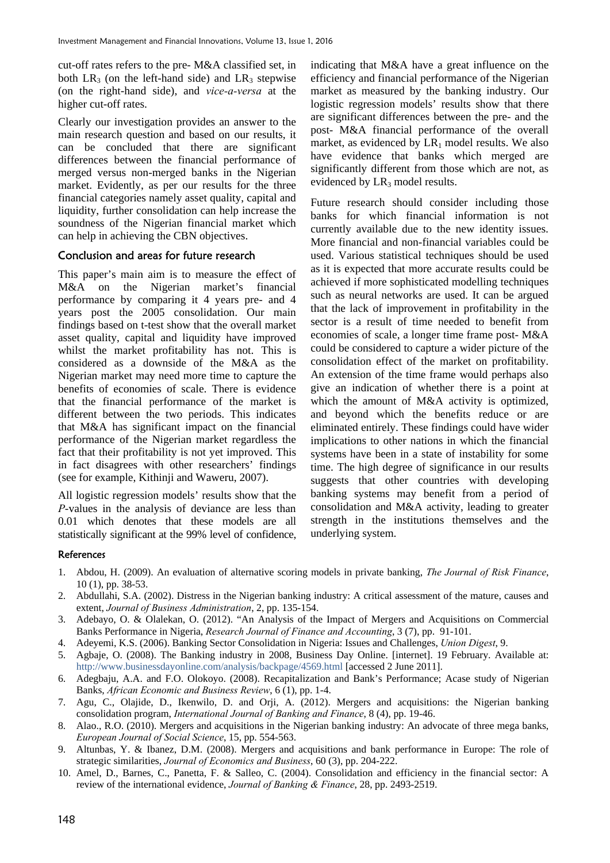cut-off rates refers to the pre- M&A classified set, in both  $LR_3$  (on the left-hand side) and  $LR_3$  stepwise (on the right-hand side), and *vice-a-versa* at the higher cut-off rates.

Clearly our investigation provides an answer to the main research question and based on our results, it can be concluded that there are significant differences between the financial performance of merged versus non-merged banks in the Nigerian market. Evidently, as per our results for the three financial categories namely asset quality, capital and liquidity, further consolidation can help increase the soundness of the Nigerian financial market which can help in achieving the CBN objectives.

#### Conclusion and areas for future research

This paper's main aim is to measure the effect of M&A on the Nigerian market's financial performance by comparing it 4 years pre- and 4 years post the 2005 consolidation. Our main findings based on t-test show that the overall market asset quality, capital and liquidity have improved whilst the market profitability has not. This is considered as a downside of the M&A as the Nigerian market may need more time to capture the benefits of economies of scale. There is evidence that the financial performance of the market is different between the two periods. This indicates that M&A has significant impact on the financial performance of the Nigerian market regardless the fact that their profitability is not yet improved. This in fact disagrees with other researchers' findings (see for example, Kithinji and Waweru, 2007).

All logistic regression models' results show that the *P*-values in the analysis of deviance are less than 0.01 which denotes that these models are all statistically significant at the 99% level of confidence,

indicating that M&A have a great influence on the efficiency and financial performance of the Nigerian market as measured by the banking industry. Our logistic regression models' results show that there are significant differences between the pre- and the post- M&A financial performance of the overall market, as evidenced by  $LR_1$  model results. We also have evidence that banks which merged are significantly different from those which are not, as evidenced by  $LR_3$  model results.

Future research should consider including those banks for which financial information is not currently available due to the new identity issues. More financial and non-financial variables could be used. Various statistical techniques should be used as it is expected that more accurate results could be achieved if more sophisticated modelling techniques such as neural networks are used. It can be argued that the lack of improvement in profitability in the sector is a result of time needed to benefit from economies of scale, a longer time frame post- M&A could be considered to capture a wider picture of the consolidation effect of the market on profitability. An extension of the time frame would perhaps also give an indication of whether there is a point at which the amount of M&A activity is optimized, and beyond which the benefits reduce or are eliminated entirely. These findings could have wider implications to other nations in which the financial systems have been in a state of instability for some time. The high degree of significance in our results suggests that other countries with developing banking systems may benefit from a period of consolidation and M&A activity, leading to greater strength in the institutions themselves and the underlying system.

#### **References**

- 1. Abdou, H. (2009). An evaluation of alternative scoring models in private banking, *The Journal of Risk Finance*, 10 (1), pp. 38-53.
- 2. Abdullahi, S.A. (2002). Distress in the Nigerian banking industry: A critical assessment of the mature, causes and extent, *Journal of Business Administration*, 2, pp. 135-154.
- 3. Adebayo, O. & Olalekan, O. (2012). "An Analysis of the Impact of Mergers and Acquisitions on Commercial Banks Performance in Nigeria, *Research Journal of Finance and Accounting*, 3 (7), pp. 91-101.
- 4. Adeyemi, K.S. (2006). Banking Sector Consolidation in Nigeria: Issues and Challenges, *Union Digest*, 9.
- 5. Agbaje, O. (2008). The Banking industry in 2008, Business Day Online. [internet]. 19 February. Available at: http://www.businessdayonline.com/analysis/backpage/4569.html [accessed 2 June 2011].
- 6. Adegbaju, A.A. and F.O. Olokoyo. (2008). Recapitalization and Bank's Performance; Acase study of Nigerian Banks, *African Economic and Business Review*, 6 (1), pp. 1-4.
- 7. Agu, C., Olajide, D., Ikenwilo, D. and Orji, A. (2012). Mergers and acquisitions: the Nigerian banking consolidation program, *International Journal of Banking and Finance*, 8 (4), pp. 19-46.
- 8. Alao., R.O. (2010). Mergers and acquisitions in the Nigerian banking industry: An advocate of three mega banks, *European Journal of Social Science*, 15, pp. 554-563.
- 9. Altunbas, Y. & Ibanez, D.M. (2008). Mergers and acquisitions and bank performance in Europe: The role of strategic similarities, *Journal of Economics and Business*, 60 (3), pp. 204-222.
- 10. Amel, D., Barnes, C., Panetta, F. & Salleo, C. (2004). Consolidation and efficiency in the financial sector: A review of the international evidence, *Journal of Banking & Finance*, 28, pp. 2493-2519.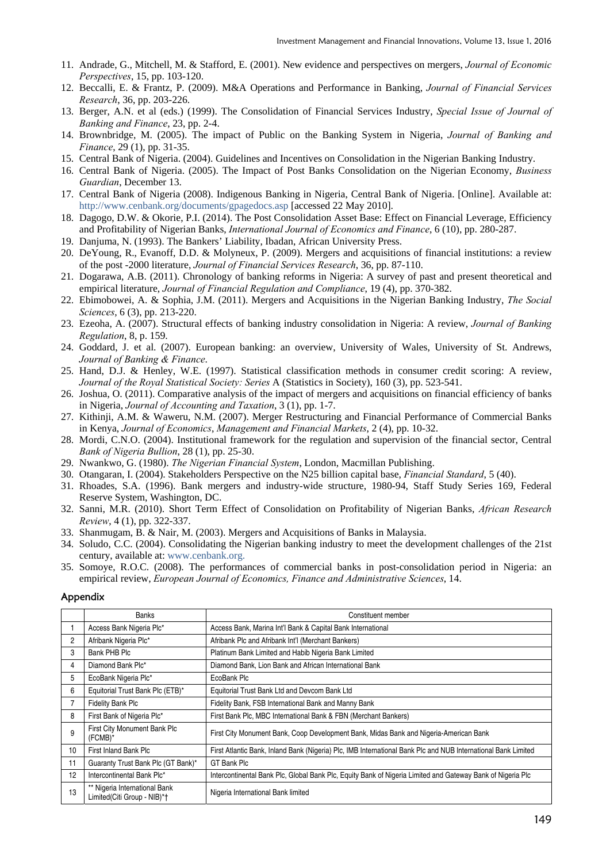- 11. Andrade, G., Mitchell, M. & Stafford, E. (2001). New evidence and perspectives on mergers, *Journal of Economic Perspectives*, 15, pp. 103-120.
- 12. Beccalli, E. & Frantz, P. (2009). M&A Operations and Performance in Banking, *Journal of Financial Services Research*, 36, pp. 203-226.
- 13. Berger, A.N. et al (eds.) (1999). The Consolidation of Financial Services Industry, *Special Issue of Journal of Banking and Finance*, 23, pp. 2-4.
- 14. Brownbridge, M. (2005). The impact of Public on the Banking System in Nigeria, *Journal of Banking and Finance*, 29 (1), pp. 31-35.
- 15. Central Bank of Nigeria. (2004). Guidelines and Incentives on Consolidation in the Nigerian Banking Industry.
- 16. Central Bank of Nigeria. (2005). The Impact of Post Banks Consolidation on the Nigerian Economy, *Business Guardian*, December 13.
- 17. Central Bank of Nigeria (2008). Indigenous Banking in Nigeria, Central Bank of Nigeria. [Online]. Available at: http://www.cenbank.org/documents/gpagedocs.asp [accessed 22 May 2010].
- 18. Dagogo, D.W. & Okorie, P.I. (2014). The Post Consolidation Asset Base: Effect on Financial Leverage, Efficiency and Profitability of Nigerian Banks, *International Journal of Economics and Finance*, 6 (10), pp. 280-287.
- 19. Danjuma, N. (1993). The Bankers' Liability, Ibadan, African University Press.
- 20. DeYoung, R., Evanoff, D.D. & Molyneux, P. (2009). Mergers and acquisitions of financial institutions: a review of the post -2000 literature, *Journal of Financial Services Research*, 36, pp. 87-110.
- 21. Dogarawa, A.B. (2011). Chronology of banking reforms in Nigeria: A survey of past and present theoretical and empirical literature, *Journal of Financial Regulation and Compliance*, 19 (4), pp. 370-382.
- 22. Ebimobowei, A. & Sophia, J.M. (2011). Mergers and Acquisitions in the Nigerian Banking Industry, *The Social Sciences*, 6 (3), pp. 213-220.
- 23. Ezeoha, A. (2007). Structural effects of banking industry consolidation in Nigeria: A review, *Journal of Banking Regulation*, 8, p. 159.
- 24. Goddard, J. et al. (2007). European banking: an overview, University of Wales, University of St. Andrews, *Journal of Banking & Finance*.
- 25. Hand, D.J. & Henley, W.E. (1997). Statistical classification methods in consumer credit scoring: A review, *Journal of the Royal Statistical Society: Series* A (Statistics in Society), 160 (3), pp. 523-541.
- 26. Joshua, O. (2011). Comparative analysis of the impact of mergers and acquisitions on financial efficiency of banks in Nigeria, *Journal of Accounting and Taxation*, 3 (1), pp. 1-7.
- 27. Kithinji, A.M. & Waweru, N.M. (2007). Merger Restructuring and Financial Performance of Commercial Banks in Kenya, *Journal of Economics*, *Management and Financial Markets*, 2 (4), pp. 10-32.
- 28. Mordi, C.N.O. (2004). Institutional framework for the regulation and supervision of the financial sector, Central *Bank of Nigeria Bullion*, 28 (1), pp. 25-30.
- 29. Nwankwo, G. (1980). *The Nigerian Financial System*, London, Macmillan Publishing.
- 30. Otangaran, I. (2004). Stakeholders Perspective on the N25 billion capital base, *Financial Standard*, 5 (40).
- 31. Rhoades, S.A. (1996). Bank mergers and industry-wide structure, 1980-94, Staff Study Series 169, Federal Reserve System, Washington, DC.
- 32. Sanni, M.R. (2010). Short Term Effect of Consolidation on Profitability of Nigerian Banks, *African Research Review*, 4 (1), pp. 322-337.
- 33. Shanmugam, B. & Nair, M. (2003). Mergers and Acquisitions of Banks in Malaysia.
- 34. Soludo, C.C. (2004). Consolidating the Nigerian banking industry to meet the development challenges of the 21st century, available at: www.cenbank.org.
- 35. Somoye, R.O.C. (2008). The performances of commercial banks in post-consolidation period in Nigeria: an empirical review, *European Journal of Economics, Finance and Administrative Sciences*, 14.

#### Appendix

|    | Banks                                                        | Constituent member                                                                                            |
|----|--------------------------------------------------------------|---------------------------------------------------------------------------------------------------------------|
|    | Access Bank Nigeria Plc*                                     | Access Bank, Marina Int'l Bank & Capital Bank International                                                   |
| 2  | Afribank Nigeria Plc*                                        | Afribank Plc and Afribank Int'l (Merchant Bankers)                                                            |
| 3  | Bank PHB Plc                                                 | Platinum Bank Limited and Habib Nigeria Bank Limited                                                          |
| 4  | Diamond Bank Plc*                                            | Diamond Bank, Lion Bank and African International Bank                                                        |
| 5  | EcoBank Nigeria Plc*                                         | EcoBank Plc                                                                                                   |
| 6  | Equitorial Trust Bank Plc (ETB)*                             | Equitorial Trust Bank Ltd and Devcom Bank Ltd                                                                 |
| 7  | <b>Fidelity Bank Plc</b>                                     | Fidelity Bank, FSB International Bank and Manny Bank                                                          |
| 8  | First Bank of Nigeria Plc*                                   | First Bank Plc, MBC International Bank & FBN (Merchant Bankers)                                               |
| 9  | First City Monument Bank Plc<br>(FCMB)*                      | First City Monument Bank, Coop Development Bank, Midas Bank and Nigeria-American Bank                         |
| 10 | First Inland Bank Plc                                        | First Atlantic Bank, Inland Bank (Nigeria) Plc, IMB International Bank Plc and NUB International Bank Limited |
| 11 | Guaranty Trust Bank Plc (GT Bank)*                           | GT Bank Plc                                                                                                   |
| 12 | Intercontinental Bank Plc*                                   | Intercontinental Bank Plc, Global Bank Plc, Equity Bank of Nigeria Limited and Gateway Bank of Nigeria Plc    |
| 13 | ** Nigeria International Bank<br>Limited(Citi Group - NIB)*† | Nigeria International Bank limited                                                                            |